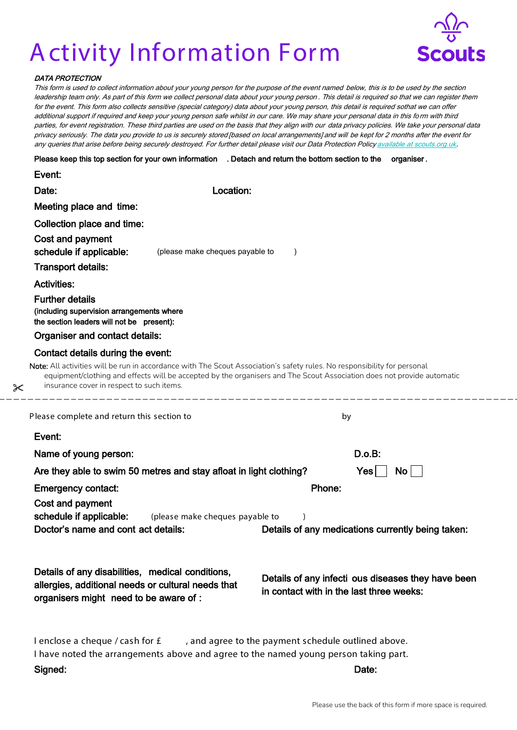## Activity Information Form



## DATA PROTECTION

 $\approx$ 

This form is used to collect information about your young person for the purpose of the event named below, this is to be used by the section leadership team only. As part of this form we collect personal data about your young person . This detail is required so that we can register them for the event. This form also collects sensitive (special category) data about your young person, this detail is required sothat we can offer additional support if required and keep your young person safe whilst in our care. We may share your personal data in this form with third parties, for event registration. These third parties are used on the basis that they align with our data privacy policies. We take your personal data privacy seriously. The data you provide to us is securely stored [based on local arrangements] and will be kept for 2 months after the event for any queries that arise before being securely destroyed. For further detail please visit our Data Protection Policy available at scouts.org.uk.

Please keep this top section for your own information . Detach and return the bottom section to the organiser .

| Event:                                                                                                           |                                 |                                                                                                                                                                                                                                                    |  |
|------------------------------------------------------------------------------------------------------------------|---------------------------------|----------------------------------------------------------------------------------------------------------------------------------------------------------------------------------------------------------------------------------------------------|--|
| Date:                                                                                                            | Location:                       |                                                                                                                                                                                                                                                    |  |
| Meeting place and time:                                                                                          |                                 |                                                                                                                                                                                                                                                    |  |
| Collection place and time:                                                                                       |                                 |                                                                                                                                                                                                                                                    |  |
| Cost and payment                                                                                                 |                                 |                                                                                                                                                                                                                                                    |  |
| schedule if applicable:                                                                                          | (please make cheques payable to |                                                                                                                                                                                                                                                    |  |
| <b>Transport details:</b>                                                                                        |                                 |                                                                                                                                                                                                                                                    |  |
| <b>Activities:</b>                                                                                               |                                 |                                                                                                                                                                                                                                                    |  |
| <b>Further details</b><br>(including supervision arrangements where<br>the section leaders will not be present): |                                 |                                                                                                                                                                                                                                                    |  |
| Organiser and contact details:                                                                                   |                                 |                                                                                                                                                                                                                                                    |  |
| Contact details during the event:                                                                                |                                 |                                                                                                                                                                                                                                                    |  |
| insurance cover in respect to such items.                                                                        |                                 | Note: All activities will be run in accordance with The Scout Association's safety rules. No responsibility for personal<br>equipment/clothing and effects will be accepted by the organisers and The Scout Association does not provide automatic |  |
| Please complete and return this section to                                                                       |                                 | by                                                                                                                                                                                                                                                 |  |
| Event:                                                                                                           |                                 |                                                                                                                                                                                                                                                    |  |
| Name of young person:                                                                                            |                                 | D.o.B:                                                                                                                                                                                                                                             |  |
| Are they able to swim 50 metres and stay afloat in light clothing?                                               |                                 | $\overline{N}$ o<br>Yes                                                                                                                                                                                                                            |  |
| <b>Emergency contact:</b>                                                                                        |                                 | Phone:                                                                                                                                                                                                                                             |  |
| Cost and payment                                                                                                 |                                 |                                                                                                                                                                                                                                                    |  |
|                                                                                                                  |                                 |                                                                                                                                                                                                                                                    |  |
| schedule if applicable:                                                                                          | (please make cheques payable to |                                                                                                                                                                                                                                                    |  |
| Doctor's name and cont act details:                                                                              |                                 | Details of any medications currently being taken:                                                                                                                                                                                                  |  |
|                                                                                                                  |                                 |                                                                                                                                                                                                                                                    |  |
| Details of any disabilities, medical conditions,                                                                 |                                 | Details of any infecti ous diseases they have been                                                                                                                                                                                                 |  |
| allergies, additional needs or cultural needs that                                                               |                                 | in contact with in the last three weeks:                                                                                                                                                                                                           |  |
| organisers might need to be aware of :                                                                           |                                 |                                                                                                                                                                                                                                                    |  |
|                                                                                                                  |                                 |                                                                                                                                                                                                                                                    |  |
| I enclose a cheque / cash for £                                                                                  |                                 | , and agree to the payment schedule outlined above.                                                                                                                                                                                                |  |
| Signed:                                                                                                          |                                 | I have noted the arrangements above and agree to the named young person taking part.<br>Date:                                                                                                                                                      |  |